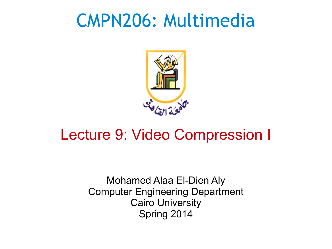#### CMPN206: Multimedia



#### Lecture 9: Video Compression I

Mohamed Alaa El-Dien Aly Computer Engineering Department Cairo University Spring 2014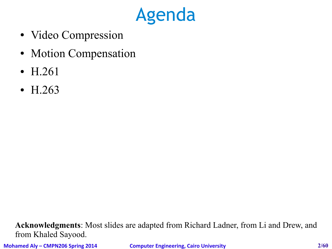

- Video Compression
- Motion Compensation
- H.261
- H.263

**Acknowledgments**: Most slides are adapted from Richard Ladner, from Li and Drew, and from Khaled Sayood.

**Mohamed Aly – CMPN206 Spring 2014 Computer Engineering, Cairo University 2/60**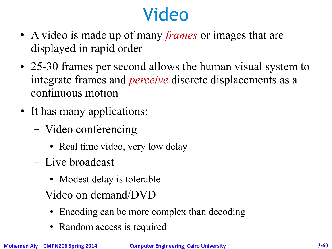# Video

- A video is made up of many *frames* or images that are displayed in rapid order
- 25-30 frames per second allows the human visual system to integrate frames and *perceive* discrete displacements as a continuous motion
- It has many applications:
	- Video conferencing
		- Real time video, very low delay
	- Live broadcast
		- Modest delay is tolerable
	- Video on demand/DVD
		- Encoding can be more complex than decoding
		- Random access is required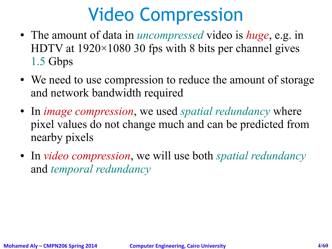## Video Compression

- The amount of data in *uncompressed* video is *huge*, e.g. in HDTV at  $1920\times1080$  30 fps with 8 bits per channel gives 1.5 Gbps
- We need to use compression to reduce the amount of storage and network bandwidth required
- In *image compression*, we used *spatial redundancy* where pixel values do not change much and can be predicted from nearby pixels
- In *video compression*, we will use both *spatial redundancy* and *temporal redundancy*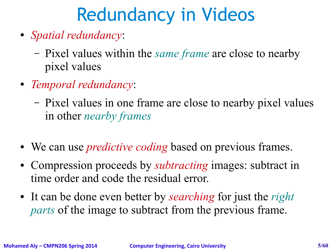# Redundancy in Videos

- *Spatial redundancy*:
	- Pixel values within the *same frame* are close to nearby pixel values
- *Temporal redundancy*:
	- Pixel values in one frame are close to nearby pixel values in other *nearby frames*
- We can use *predictive coding* based on previous frames.
- Compression proceeds by *subtracting* images: subtract in time order and code the residual error.
- It can be done even better by *searching* for just the *right parts* of the image to subtract from the previous frame.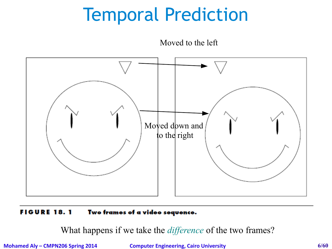#### Temporal Prediction

#### Moved to the left



#### **FIGURE 18.1** Two frames of a video sequence.

What happens if we take the *difference* of the two frames?

**Mohamed Aly – CMPN206 Spring 2014 Computer Engineering, Cairo University 6/60**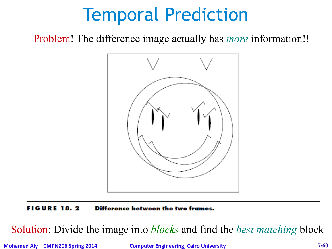#### Temporal Prediction

Problem! The difference image actually has *more* information!!



Difference between the two frames. **FIGURE 18.2** 

Solution: Divide the image into *blocks* and find the *best matching* block

**Mohamed Aly – CMPN206 Spring 2014 Computer Engineering, Cairo University 7/60**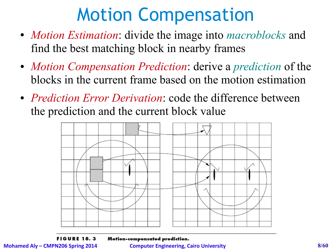#### Motion Compensation

- *Motion Estimation*: divide the image into *macroblocks* and find the best matching block in nearby frames
- *Motion Compensation Prediction*: derive a *prediction* of the blocks in the current frame based on the motion estimation
- *Prediction Error Derivation*: code the difference between the prediction and the current block value



**FIGURE 18.3** 

Motion-compensated prediction.

**Mohamed Aly – CMPN206 Spring 2014 Computer Engineering, Cairo University 8/60**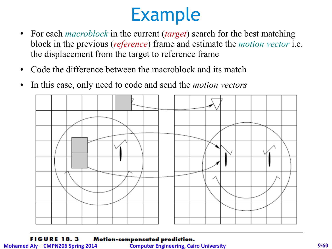#### Example

- For each *macroblock* in the current *(target)* search for the best matching block in the previous (*reference*) frame and estimate the *motion vector* i.e. the displacement from the target to reference frame
- Code the difference between the macroblock and its match
- In this case, only need to code and send the *motion vectors*



**FIGURE 18.3** Motion-compensated prediction.

**Mohamed Aly – CMPN206 Spring 2014 Computer Engineering, Cairo University 9/60**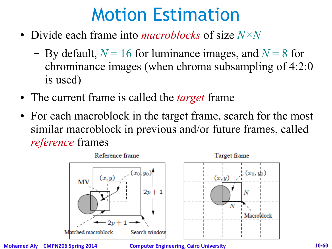- Divide each frame into *macroblocks* of size *N×N*
	- By default,  $N = 16$  for luminance images, and  $N = 8$  for chrominance images (when chroma subsampling of 4:2:0 is used)
- The current frame is called the *target* frame
- For each macroblock in the target frame, search for the most similar macroblock in previous and/or future frames, called *reference* frames



**Mohamed Aly – CMPN206 Spring 2014 Computer Engineering, Cairo University 10/60**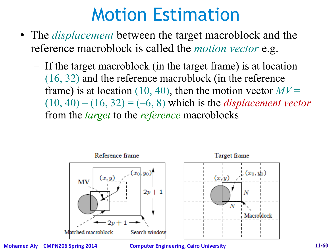- The *displacement* between the target macroblock and the reference macroblock is called the *motion vector* e.g.
	- If the target macroblock (in the target frame) is at location (16, 32) and the reference macroblock (in the reference frame) is at location  $(10, 40)$ , then the motion vector  $MV =$  $(10, 40) - (16, 32) = (-6, 8)$  which is the *displacement vector* from the *target* to the *reference* macroblocks



**Mohamed Aly – CMPN206 Spring 2014 Computer Engineering, Cairo University 11/60**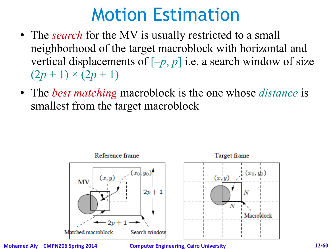- The *search* for the MV is usually restricted to a small neighborhood of the target macroblock with horizontal and vertical displacements of  $[-p, p]$  i.e. a search window of size  $(2p + 1) \times (2p + 1)$
- The *best matching* macroblock is the one whose *distance* is smallest from the target macroblock



**Mohamed Aly – CMPN206 Spring 2014 Computer Engineering, Cairo University 12/60**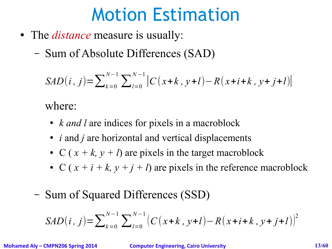- The *distance* measure is usually:
	- Sum of Absolute Differences (SAD)

$$
SAD(i, j) = \sum_{k=0}^{N-1} \sum_{l=0}^{N-1} |C(x+k, y+l) - R(x+i+k, y+j+l)|
$$

where:

- *k and l* are indices for pixels in a macroblock
- *i* and *j* are horizontal and vertical displacements
- C ( $x + k$ ,  $y + l$ ) are pixels in the target macroblock
- C  $(x + i + k, y + j + l)$  are pixels in the reference macroblock
- Sum of Squared Differences (SSD)

$$
SAD(i, j) = \sum_{k=0}^{N-1} \sum_{l=0}^{N-1} (C(x+k, y+l) - R(x+i+k, y+j+l))^{2}
$$

**Mohamed Aly – CMPN206 Spring 2014 Computer Engineering, Cairo University 13/60**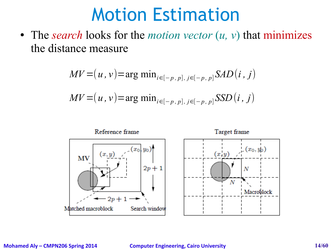• The *search* looks for the *motion vector*  $(u, v)$  that minimizes the distance measure

$$
MV = (u, v) = \arg \min_{i \in [-p, p], j \in [-p, p]} SAD(i, j)
$$
  

$$
MV = (u, v) = \arg \min_{i \in [-p, p], j \in [-p, p]} SSD(i, j)
$$

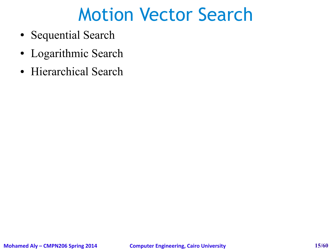#### Motion Vector Search

- Sequential Search
- Logarithmic Search
- Hierarchical Search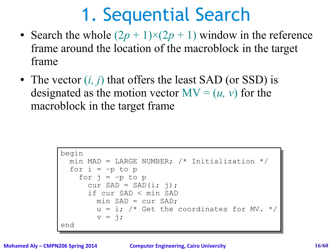#### 1. Sequential Search

- Search the whole  $(2p + 1) \times (2p + 1)$  window in the reference frame around the location of the macroblock in the target frame
- The vector  $(i, j)$  that offers the least SAD (or SSD) is designated as the motion vector  $MV = (u, v)$  for the macroblock in the target frame

```
begin
begin
 min MAD = LARGE NUMBER; /* Initialization */
 min MAD = LARGE NUMBER; /* Initialization */
for i = -p to pfor j = -p to pcur SAD = SAD(i; j);
 if cur SAD < min SAD
 if cur SAD < min SAD
min SAD = cur SAD;
u = i; /* Get the coordinates for MV. */
v = j;end
end min SAD = cur SAD;
```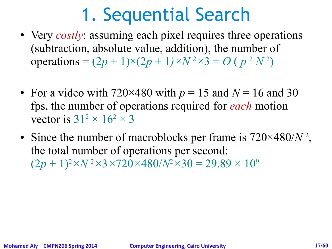#### 1. Sequential Search

- Very *costly*: assuming each pixel requires three operations (subtraction, absolute value, addition), the number of operations =  $(2p + 1) \times (2p + 1) \times N^2 \times 3 = O(p^2 N^2)$
- For a video with  $720\times480$  with  $p = 15$  and  $N = 16$  and 30 fps, the number of operations required for *each* motion vector is  $31^2 \times 16^2 \times 3$
- Since the number of macroblocks per frame is  $720\times480/N^2$ , the total number of operations per second:  $(2p + 1)^2 \times N^2 \times 3 \times 720 \times 480/N^2 \times 30 = 29.89 \times 10^9$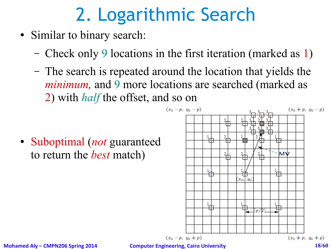# 2. Logarithmic Search

- Similar to binary search:
	- Check only 9 locations in the first iteration (marked as 1)
	- The search is repeated around the location that yields the *minimum*, and 9 more locations are searched (marked as 2) with *half* the offset, and so on

• Suboptimal (*not* guaranteed to return the *best* match)

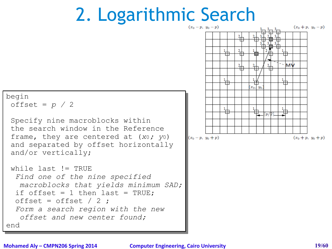#### 2. Logarithmic Search



end end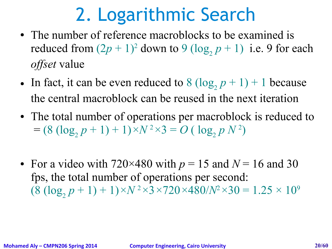## 2. Logarithmic Search

- The number of reference macroblocks to be examined is reduced from  $(2p + 1)^2$  down to  $9 (\log_2 p + 1)$  i.e. 9 for each *offset* value
- In fact, it can be even reduced to  $8 (\log_2 p + 1) + 1$  because the central macroblock can be reused in the next iteration
- The total number of operations per macroblock is reduced to  $= (8 (\log_2 p + 1) + 1) \times N^2 \times 3 = O(\log_2 p N^2)$
- For a video with  $720\times480$  with  $p = 15$  and  $N = 16$  and 30 fps, the total number of operations per second:  $(8 (\log_2 p + 1) + 1) \times N^2 \times 3 \times 720 \times 480/N^2 \times 30 = 1.25 \times 10^9$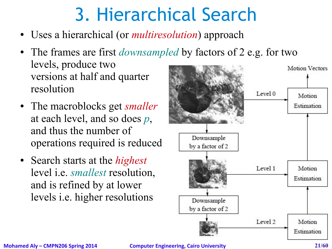# 3. Hierarchical Search

- Uses a hierarchical (or *multiresolution*) approach
- The frames are first *downsampled* by factors of 2 e.g. for two levels, produce two versions at half and quarter resolution
- The macroblocks get *smaller* at each level, and so does *p*, and thus the number of operations required is reduced
- Search starts at the *highest* level i.e. *smallest* resolution, and is refined by at lower levels i.e. higher resolutions

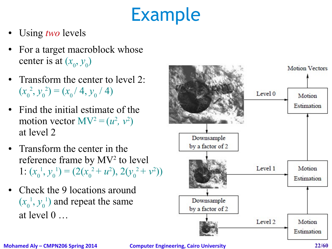# Example

- Using *two* levels
- For a target macroblock whose center is at  $(x_0, y_0)$
- Transform the center to level 2:  $(x_{0}$ <sup>2</sup>,  $y_0$ <sup>2</sup> $) = (x_0 / 4, y_0 / 4)$
- Find the initial estimate of the motion vector  $MV^2 = (u^2, v^2)$ at level 2
- Transform the center in the reference frame by MV<sup>2</sup> to level 1:  $(x_0$ <sup>1</sup>,  $y_0$ <sup>1</sup>) =  $(2(x_0^2 + u^2), 2(y_0^2 + v^2))$
- Check the 9 locations around  $(x_{0}$ <sup>1</sup>,  $y_0$ <sup>1</sup>) and repeat the same at level 0 …

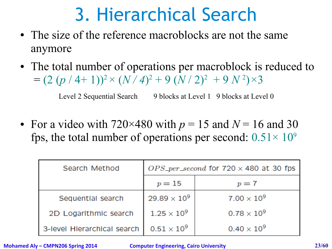## 3. Hierarchical Search

- The size of the reference macroblocks are not the same anymore
- The total number of operations per macroblock is reduced to  $= (2 (p / 4 + 1))^2 \times (N / 4)^2 + 9 (N / 2)^2 + 9 N^2 \times 3$

Level 2 Sequential Search 9 blocks at Level 1 9 blocks at Level 0

• For a video with  $720\times480$  with  $p = 15$  and  $N = 16$  and 30 fps, the total number of operations per second:  $0.51 \times 10^9$ 

| Search Method               | $OPS\_per\_second$ for $720 \times 480$ at 30 fps |                      |  |
|-----------------------------|---------------------------------------------------|----------------------|--|
|                             | $p=15$                                            | $p=7$                |  |
| Sequential search           | $29.89 \times 10^9$                               | $7.00 \times 10^{9}$ |  |
| 2D Logarithmic search       | $1.25 \times 10^9$                                | $0.78 \times 10^{9}$ |  |
| 3-level Hierarchical search | $0.51\times10^{9}$                                | $0.40 \times 10^{9}$ |  |

**Mohamed Aly – CMPN206 Spring 2014 Computer Engineering, Cairo University 23/60**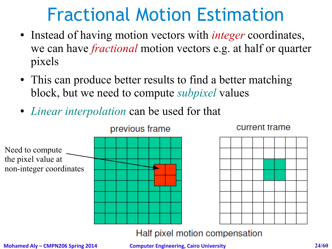#### Fractional Motion Estimation

- Instead of having motion vectors with *integer* coordinates, we can have *fractional* motion vectors e.g. at half or quarter pixels
- This can produce better results to find a better matching block, but we need to compute *subpixel* values
- *Linear interpolation* can be used for that

![](_page_23_Figure_4.jpeg)

#### current frame

![](_page_23_Figure_6.jpeg)

#### Half pixel motion compensation

**Mohamed Aly – CMPN206 Spring 2014 Computer Engineering, Cairo University 24/60**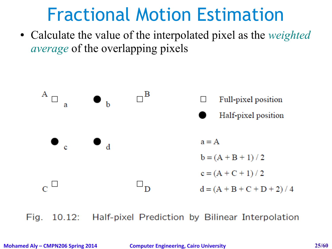#### Fractional Motion Estimation

● Calculate the value of the interpolated pixel as the *weighted average* of the overlapping pixels

![](_page_24_Figure_2.jpeg)

10.12: Half-pixel Prediction by Bilinear Interpolation Fig.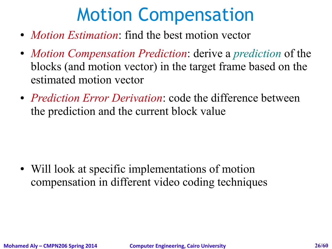### Motion Compensation

- *Motion Estimation*: find the best motion vector
- *Motion Compensation Prediction*: derive a *prediction* of the blocks (and motion vector) in the target frame based on the estimated motion vector
- *Prediction Error Derivation*: code the difference between the prediction and the current block value

• Will look at specific implementations of motion compensation in different video coding techniques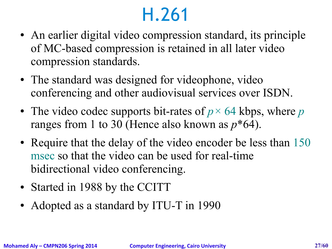#### H.261

- An earlier digital video compression standard, its principle of MC-based compression is retained in all later video compression standards.
- The standard was designed for videophone, video conferencing and other audiovisual services over ISDN.
- The video codec supports bit-rates of  $p \times 64$  kbps, where p ranges from 1 to 30 (Hence also known as *p*\*64).
- Require that the delay of the video encoder be less than 150 msec so that the video can be used for real-time bidirectional video conferencing.
- Started in 1988 by the CCITT
- Adopted as a standard by ITU-T in 1990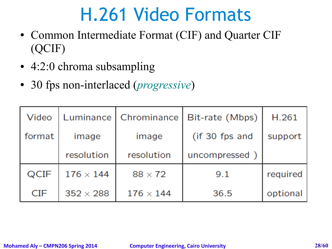#### H.261 Video Formats

- Common Intermediate Format (CIF) and Quarter CIF (QCIF)
- 4:2:0 chroma subsampling
- 30 fps non-interlaced (*progressive*)

| Video      | Luminance        | Chrominance      | Bit-rate (Mbps) | H.261    |
|------------|------------------|------------------|-----------------|----------|
| format     | image            | image            | (if 30 fps and  | support  |
|            | resolution       | resolution       | uncompressed)   |          |
| QCIF       | $176 \times 144$ | $88 \times 72$   | 9.1             | required |
| <b>CIF</b> | $352 \times 288$ | $176 \times 144$ | 36.5            | optional |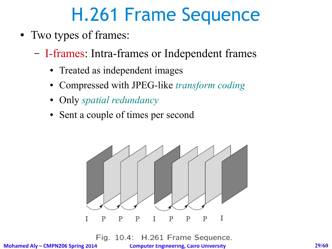## H.261 Frame Sequence

- Two types of frames:
	- I-frames: Intra-frames or Independent frames
		- Treated as independent images
		- Compressed with JPEG-like *transform coding*
		- Only *spatial redundancy*
		- Sent a couple of times per second

![](_page_28_Figure_7.jpeg)

H.261 Frame Sequence. Fig. 10.4:

**Mohamed Aly – CMPN206 Spring 2014 Computer Engineering, Cairo University 29/60**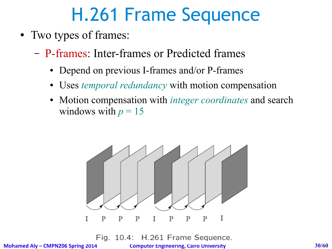## H.261 Frame Sequence

- Two types of frames:
	- P-frames: Inter-frames or Predicted frames
		- Depend on previous I-frames and/or P-frames
		- Uses *temporal redundancy* with motion compensation
		- Motion compensation with *integer coordinates* and search windows with  $p = 15$

![](_page_29_Figure_6.jpeg)

Fig. 10.4: H.261 Frame Sequence.

**Mohamed Aly – CMPN206 Spring 2014 Computer Engineering, Cairo University 30/60**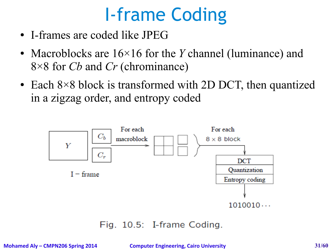## I-frame Coding

- I-frames are coded like JPEG
- Macroblocks are  $16\times16$  for the *Y* channel (luminance) and 8×8 for *Cb* and *Cr* (chrominance)
- Each  $8 \times 8$  block is transformed with 2D DCT, then quantized in a zigzag order, and entropy coded

![](_page_30_Figure_4.jpeg)

Fig. 10.5: I-frame Coding.

**Mohamed Aly – CMPN206 Spring 2014 Computer Engineering, Cairo University 31/60**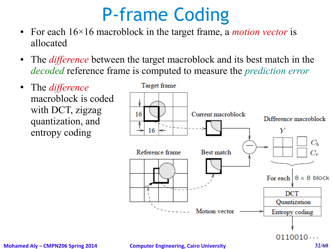#### P-frame Coding

- For each  $16\times16$  macroblock in the target frame, a *motion vector* is allocated
- The *difference* between the target macroblock and its best match in the *decoded* reference frame is computed to measure the *prediction error*
- The *difference* macroblock is coded with DCT, zigzag quantization, and entropy coding

![](_page_31_Figure_4.jpeg)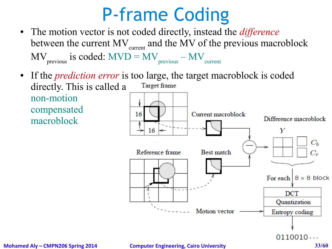### P-frame Coding

- The motion vector is not coded directly, instead the *difference* between the current  $MV_{current}$  and the MV of the previous macroblock  $MV<sub>previous</sub>$  is coded:  $MVD = MV<sub>previous</sub> - MV<sub>current</sub>$
- If the *prediction error* is too large, the target macroblock is coded directly. This is called a Target frame non-motion compensated 16 Current macroblock macroblock16

![](_page_32_Figure_3.jpeg)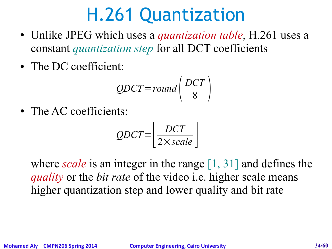#### H.261 Quantization

- Unlike JPEG which uses a *quantization table*, H.261 uses a constant *quantization step* for all DCT coefficients
- The DC coefficient:

$$
QDCT = round\left(\frac{DCT}{8}\right)
$$

• The AC coefficients:

$$
QDCT = \left[ \frac{DCT}{2 \times scale} \right]
$$

where *scale* is an integer in the range [1, 31] and defines the *quality* or the *bit rate* of the video i.e. higher scale means higher quantization step and lower quality and bit rate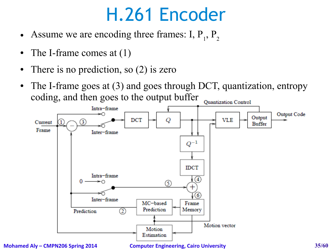- Assume we are encoding three frames: I,  $P_1$ ,  $P_2$
- The I-frame comes at  $(1)$
- There is no prediction, so (2) is zero
- The I-frame goes at (3) and goes through DCT, quantization, entropy coding, and then goes to the output bufferQuantization Control

![](_page_34_Figure_5.jpeg)

**Mohamed Aly – CMPN206 Spring 2014 Computer Engineering, Cairo University 35/60**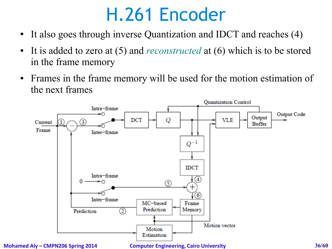- It also goes through inverse Quantization and IDCT and reaches (4)
- It is added to zero at (5) and *reconstructed* at (6) which is to be stored in the frame memory
- Frames in the frame memory will be used for the motion estimation of the next frames

![](_page_35_Figure_4.jpeg)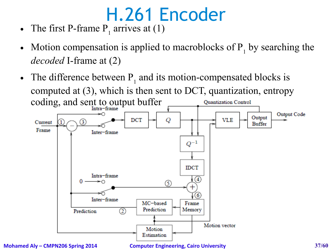- The first P-frame  $P_1$  arrives at (1)
- Motion compensation is applied to macroblocks of  $P_1$  by searching the *decoded* I-frame at (2)
- The difference between  $P_1$  and its motion-compensated blocks is computed at (3), which is then sent to DCT, quantization, entropy **Quantization Control**

![](_page_36_Figure_4.jpeg)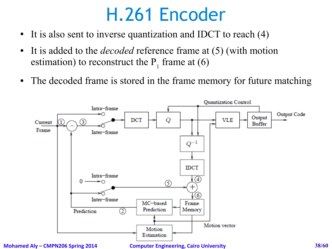- It is also sent to inverse quantization and IDCT to reach (4)
- It is added to the *decoded* reference frame at (5) (with motion estimation) to reconstruct the  $P_1$  frame at (6)
- The decoded frame is stored in the frame memory for future matching

![](_page_37_Figure_4.jpeg)

**Mohamed Aly – CMPN206 Spring 2014 Computer Engineering, Cairo University 38/60**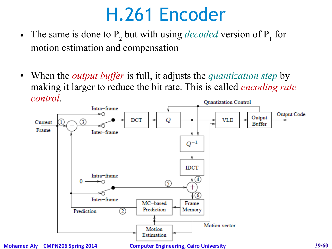- The same is done to  $P_2$  but with using *decoded* version of  $P_1$  for motion estimation and compensation
- When the *output buffer* is full, it adjusts the *quantization step* by making it larger to reduce the bit rate. This is called *encoding rate control*.Quantization Control

![](_page_38_Figure_3.jpeg)

**Mohamed Aly – CMPN206 Spring 2014 Computer Engineering, Cairo University 39/60**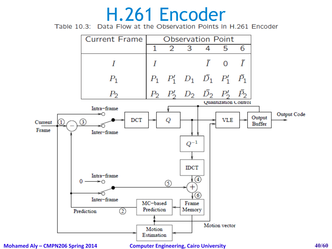# $H.261$  Encoder<br>Table 10.3: Data Flow at the Observation Points in H.261 Encoder

![](_page_39_Figure_2.jpeg)

**Mohamed Aly – CMPN206 Spring 2014 Computer Engineering, Cairo University 40/60**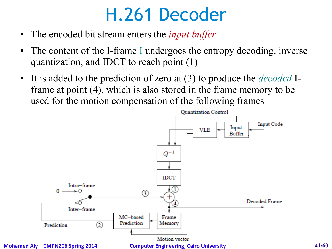#### H.261 Decoder

- The encoded bit stream enters the *input buffer*
- The content of the I-frame I undergoes the entropy decoding, inverse quantization, and IDCT to reach point (1)
- It is added to the prediction of zero at (3) to produce the *decoded* Iframe at point (4), which is also stored in the frame memory to be used for the motion compensation of the following frames

![](_page_40_Figure_4.jpeg)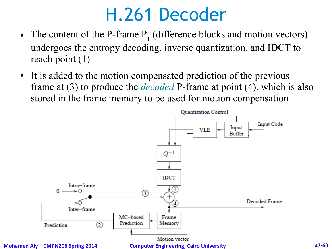#### H.261 Decoder

- The content of the P-frame  $P_1$  (difference blocks and motion vectors) undergoes the entropy decoding, inverse quantization, and IDCT to reach point (1)
- It is added to the motion compensated prediction of the previous frame at (3) to produce the *decoded* P-frame at point (4), which is also stored in the frame memory to be used for motion compensation

![](_page_41_Figure_3.jpeg)

**Mohamed Aly – CMPN206 Spring 2014 Computer Engineering, Cairo University 42/60**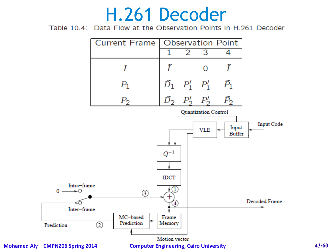#### H.261 Decoder

Table 10.4: Data Flow at the Observation Points in H.261 Decoder

![](_page_42_Figure_2.jpeg)

**Mohamed Aly – CMPN206 Spring 2014 Computer Engineering, Cairo University 43/60**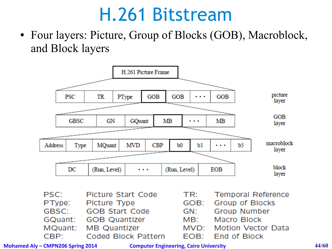#### H.261 Bitstream

• Four layers: Picture, Group of Blocks (GOB), Macroblock, and Block layers

![](_page_43_Figure_2.jpeg)

| PSC:    | Picture Start Code    | TR: | Temporal Reference      |
|---------|-----------------------|-----|-------------------------|
| PType:  | Picture Type          |     | GOB: Group of Blocks    |
| GBSC:   | <b>GOB Start Code</b> | GN: | Group Number            |
| GQuant: | <b>GOB Quantizer</b>  | MB: | Macro Block             |
|         | MQuant: MB Quantizer  |     | MVD: Motion Vector Data |
| CBP:    | Coded Block Pattern   |     | EOB: End of Block       |

**Mohamed Aly – CMPN206 Spring 2014 Computer Engineering, Cairo University 44/60**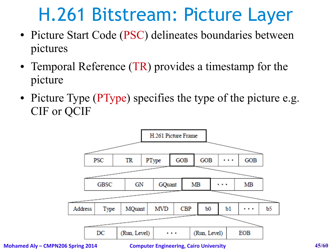#### H.261 Bitstream: Picture Layer

- Picture Start Code (PSC) delineates boundaries between pictures
- Temporal Reference (TR) provides a timestamp for the picture
- Picture Type (PType) specifies the type of the picture e.g. CIF or QCIF

![](_page_44_Figure_4.jpeg)

**Mohamed Aly – CMPN206 Spring 2014 Computer Engineering, Cairo University 45/60**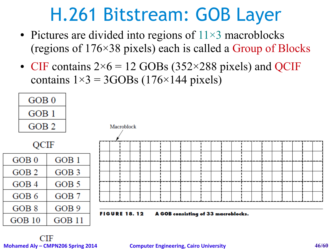#### H.261 Bitstream: GOB Layer

- Pictures are divided into regions of  $11\times3$  macroblocks (regions of 176×38 pixels) each is called a Group of Blocks
- CIF contains  $2\times 6 = 12$  GOBs (352×288 pixels) and QCIF contains  $1\times3 = 3GOBs$  (176×144 pixels)

![](_page_45_Figure_3.jpeg)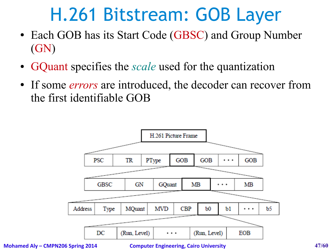#### H.261 Bitstream: GOB Layer

- Each GOB has its Start Code (GBSC) and Group Number (GN)
- GQuant specifies the *scale* used for the quantization
- If some *errors* are introduced, the decoder can recover from the first identifiable GOB

![](_page_46_Figure_4.jpeg)

**Mohamed Aly – CMPN206 Spring 2014 Computer Engineering, Cairo University 47/60**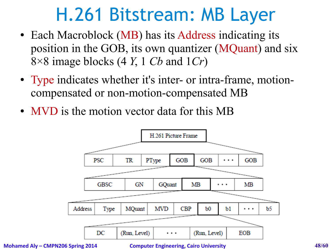#### H.261 Bitstream: MB Layer

- Each Macroblock (MB) has its Address indicating its position in the GOB, its own quantizer (MQuant) and six 8×8 image blocks (4 *Y*, 1 *Cb* and 1*Cr*)
- Type indicates whether it's inter- or intra-frame, motioncompensated or non-motion-compensated MB
- MVD is the motion vector data for this MB

![](_page_47_Figure_4.jpeg)

**Mohamed Aly – CMPN206 Spring 2014 Computer Engineering, Cairo University 48/60**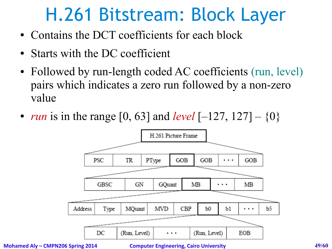#### H.261 Bitstream: Block Layer

- Contains the DCT coefficients for each block
- Starts with the DC coefficient
- Followed by run-length coded AC coefficients (run, level) pairs which indicates a zero run followed by a non-zero value
- *run* is in the range [0, 63] and *level* [-127, 127]  $\{0\}$

![](_page_48_Figure_5.jpeg)

**Mohamed Aly – CMPN206 Spring 2014 Computer Engineering, Cairo University 49/60**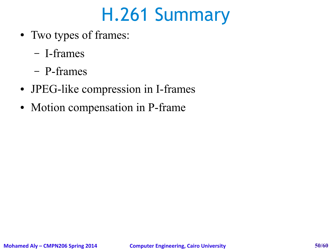#### H.261 Summary

- Two types of frames:
	- I-frames
	- P-frames
- JPEG-like compression in I-frames
- Motion compensation in P-frame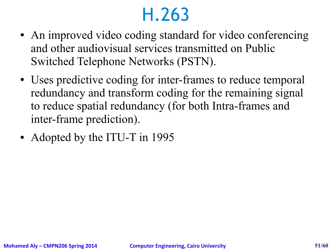#### H.263

- An improved video coding standard for video conferencing and other audiovisual services transmitted on Public Switched Telephone Networks (PSTN).
- Uses predictive coding for inter-frames to reduce temporal redundancy and transform coding for the remaining signal to reduce spatial redundancy (for both Intra-frames and inter-frame prediction).
- Adopted by the ITU-T in 1995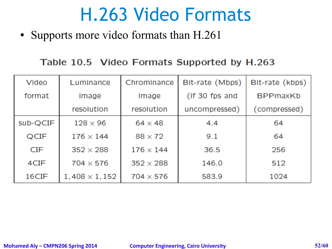#### H.263 Video Formats

• Supports more video formats than H.261

#### Table 10.5 Video Formats Supported by H.263

| Video    | Luminance            | Chrominance      | Bit-rate (Mbps) | Bit-rate (kbps) |
|----------|----------------------|------------------|-----------------|-----------------|
| format   | image                | image            | (if 30 fps and  | <b>BPPmaxKb</b> |
|          | resolution           | resolution       | uncompressed)   | (compressed)    |
| sub-QCIF | $128 \times 96$      | $64 \times 48$   | 4.4             | 64              |
| QCIF     | $176 \times 144$     | $88 \times 72$   | 9.1             | 64              |
| CIF      | $352 \times 288$     | $176 \times 144$ | 36.5            | 256             |
| 4CIF     | $704 \times 576$     | $352 \times 288$ | 146.0           | 512             |
| 16CIF    | $1,408 \times 1,152$ | $704 \times 576$ | 583.9           | 1024            |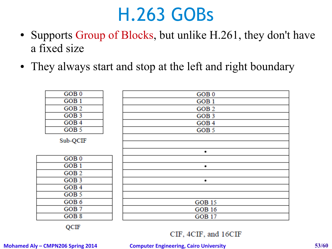#### H.263 GOBs

- Supports Group of Blocks, but unlike H.261, they don't have a fixed size
- They always start and stop at the left and right boundary

| GOB <sub>0</sub>   | GOB <sub>0</sub> |
|--------------------|------------------|
| GOB <sub>1</sub>   | GOB <sub>1</sub> |
| GOB <sub>2</sub>   | GOB <sub>2</sub> |
| GOB <sub>3</sub>   | GOB <sub>3</sub> |
| GOB <sub>4</sub>   | GOB <sub>4</sub> |
| GOB <sub>5</sub>   | GOB <sub>5</sub> |
| Sub-QCIF           |                  |
|                    | ٠                |
| $GOB$ <sub>0</sub> |                  |
| GOB <sub>1</sub>   | ٠                |
| GOB <sub>2</sub>   |                  |
| GOB <sub>3</sub>   | ٠                |
| GOB <sub>4</sub>   |                  |
| GOB <sub>5</sub>   |                  |
| GOB <sub>6</sub>   | <b>GOB 15</b>    |
| GOB <sub>7</sub>   | <b>GOB 16</b>    |
| GOB <sub>8</sub>   | <b>GOB 17</b>    |
|                    |                  |

QCIF

CIF, 4CIF, and 16CIF

#### **Mohamed Aly – CMPN206 Spring 2014 Computer Engineering, Cairo University 53/60**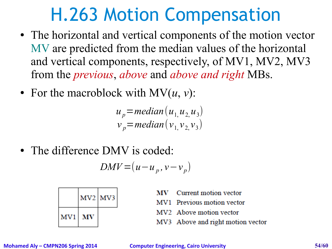#### H.263 Motion Compensation

- The horizontal and vertical components of the motion vector MV are predicted from the median values of the horizontal and vertical components, respectively, of MV1, MV2, MV3 from the *previous*, *above* and *above and right* MBs.
- For the macroblock with  $MV(u, v)$ :

$$
u_p = median(u_1, u_2, u_3)
$$
  

$$
v_p = median(v_1, v_2, v_3)
$$

• The difference DMV is coded:

$$
DMV = (u - u_p, v - v_p)
$$

|        | MV <sub>2</sub> MV <sub>3</sub> |  |
|--------|---------------------------------|--|
| MV1 MV |                                 |  |

- Current motion vector
- MV1 Previous motion vector
- MV2 Above motion vector
- MV3 Above and right motion vector

**Mohamed Aly – CMPN206 Spring 2014 Computer Engineering, Cairo University 54/60**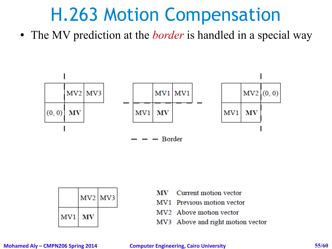#### H.263 Motion Compensation

• The MV prediction at the *border* is handled in a special way

![](_page_54_Figure_2.jpeg)

|     | MV <sub>2</sub> MV <sub>3</sub> |  |
|-----|---------------------------------|--|
| MV1 | MV                              |  |

- Current motion vector МV
- MV1 Previous motion vector
- MV<sub>2</sub> Above motion vector
- MV3 Above and right motion vector

**Mohamed Aly – CMPN206 Spring 2014 Computer Engineering, Cairo University 55/60**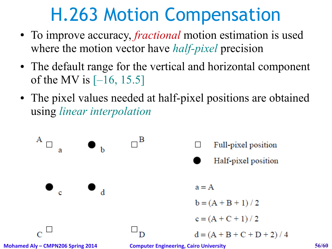### H.263 Motion Compensation

- To improve accuracy, *fractional* motion estimation is used where the motion vector have *half-pixel* precision
- The default range for the vertical and horizontal component of the MV is  $[-16, 15.5]$
- The pixel values needed at half-pixel positions are obtained using *linear interpolation*

![](_page_55_Figure_4.jpeg)

**Mohamed Aly – CMPN206 Spring 2014 Computer Engineering, Cairo University 56/60**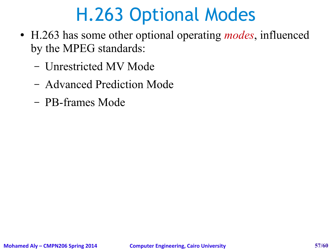## H.263 Optional Modes

- H.263 has some other optional operating *modes*, influenced by the MPEG standards:
	- Unrestricted MV Mode
	- Advanced Prediction Mode
	- PB-frames Mode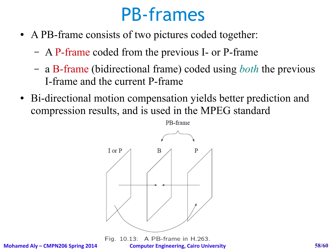#### PB-frames

- A PB-frame consists of two pictures coded together:
	- A P-frame coded from the previous I- or P-frame
	- a B-frame (bidirectional frame) coded using *both* the previous I-frame and the current P-frame
- Bi-directional motion compensation yields better prediction and compression results, and is used in the MPEG standard

![](_page_57_Figure_5.jpeg)

A PB-frame in H.263. Fig.  $10.13$ : **Mohamed Aly – CMPN206 Spring 2014 Computer Engineering, Cairo University 58/60**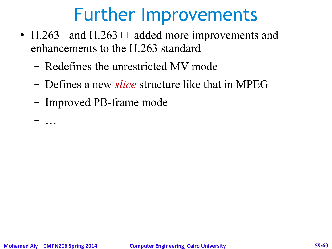#### Further Improvements

- H.263+ and H.263++ added more improvements and enhancements to the H.263 standard
	- Redefines the unrestricted MV mode
	- Defines a new *slice* structure like that in MPEG
	- Improved PB-frame mode

– …